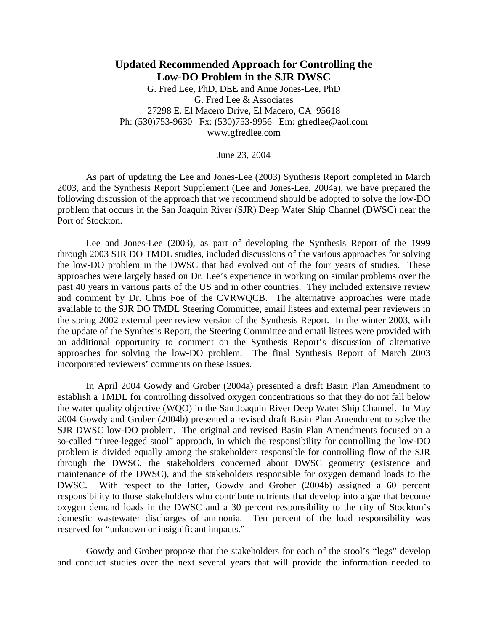# **Updated Recommended Approach for Controlling the Low-DO Problem in the SJR DWSC**

G. Fred Lee, PhD, DEE and Anne Jones-Lee, PhD G. Fred Lee & Associates 27298 E. El Macero Drive, El Macero, CA 95618 Ph: (530)753-9630 Fx: (530)753-9956 Em: gfredlee@aol.com www.gfredlee.com

June 23, 2004

 As part of updating the Lee and Jones-Lee (2003) Synthesis Report completed in March 2003, and the Synthesis Report Supplement (Lee and Jones-Lee, 2004a), we have prepared the following discussion of the approach that we recommend should be adopted to solve the low-DO problem that occurs in the San Joaquin River (SJR) Deep Water Ship Channel (DWSC) near the Port of Stockton.

 Lee and Jones-Lee (2003), as part of developing the Synthesis Report of the 1999 through 2003 SJR DO TMDL studies, included discussions of the various approaches for solving the low-DO problem in the DWSC that had evolved out of the four years of studies. These approaches were largely based on Dr. Lee's experience in working on similar problems over the past 40 years in various parts of the US and in other countries. They included extensive review and comment by Dr. Chris Foe of the CVRWQCB. The alternative approaches were made available to the SJR DO TMDL Steering Committee, email listees and external peer reviewers in the spring 2002 external peer review version of the Synthesis Report. In the winter 2003, with the update of the Synthesis Report, the Steering Committee and email listees were provided with an additional opportunity to comment on the Synthesis Report's discussion of alternative approaches for solving the low-DO problem. The final Synthesis Report of March 2003 incorporated reviewers' comments on these issues.

 In April 2004 Gowdy and Grober (2004a) presented a draft Basin Plan Amendment to establish a TMDL for controlling dissolved oxygen concentrations so that they do not fall below the water quality objective (WQO) in the San Joaquin River Deep Water Ship Channel. In May 2004 Gowdy and Grober (2004b) presented a revised draft Basin Plan Amendment to solve the SJR DWSC low-DO problem. The original and revised Basin Plan Amendments focused on a so-called "three-legged stool" approach, in which the responsibility for controlling the low-DO problem is divided equally among the stakeholders responsible for controlling flow of the SJR through the DWSC, the stakeholders concerned about DWSC geometry (existence and maintenance of the DWSC), and the stakeholders responsible for oxygen demand loads to the DWSC. With respect to the latter, Gowdy and Grober (2004b) assigned a 60 percent responsibility to those stakeholders who contribute nutrients that develop into algae that become oxygen demand loads in the DWSC and a 30 percent responsibility to the city of Stockton's domestic wastewater discharges of ammonia. Ten percent of the load responsibility was reserved for "unknown or insignificant impacts."

 Gowdy and Grober propose that the stakeholders for each of the stool's "legs" develop and conduct studies over the next several years that will provide the information needed to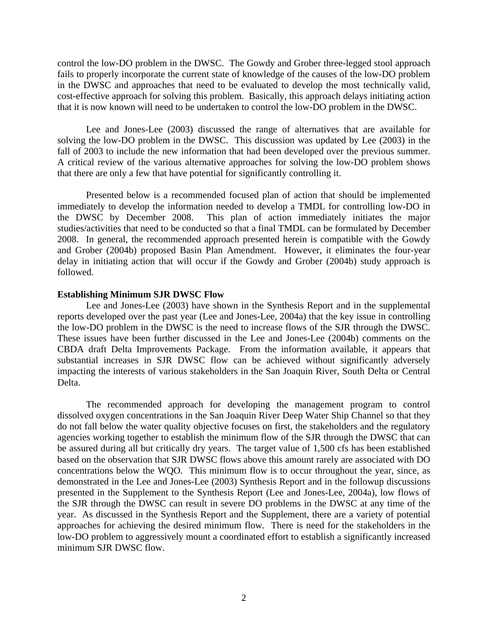control the low-DO problem in the DWSC. The Gowdy and Grober three-legged stool approach fails to properly incorporate the current state of knowledge of the causes of the low-DO problem in the DWSC and approaches that need to be evaluated to develop the most technically valid, cost-effective approach for solving this problem. Basically, this approach delays initiating action that it is now known will need to be undertaken to control the low-DO problem in the DWSC.

 Lee and Jones-Lee (2003) discussed the range of alternatives that are available for solving the low-DO problem in the DWSC. This discussion was updated by Lee (2003) in the fall of 2003 to include the new information that had been developed over the previous summer. A critical review of the various alternative approaches for solving the low-DO problem shows that there are only a few that have potential for significantly controlling it.

 Presented below is a recommended focused plan of action that should be implemented immediately to develop the information needed to develop a TMDL for controlling low-DO in the DWSC by December 2008. This plan of action immediately initiates the major This plan of action immediately initiates the major studies/activities that need to be conducted so that a final TMDL can be formulated by December 2008. In general, the recommended approach presented herein is compatible with the Gowdy and Grober (2004b) proposed Basin Plan Amendment. However, it eliminates the four-year delay in initiating action that will occur if the Gowdy and Grober (2004b) study approach is followed.

#### **Establishing Minimum SJR DWSC Flow**

 Lee and Jones-Lee (2003) have shown in the Synthesis Report and in the supplemental reports developed over the past year (Lee and Jones-Lee, 2004a) that the key issue in controlling the low-DO problem in the DWSC is the need to increase flows of the SJR through the DWSC. These issues have been further discussed in the Lee and Jones-Lee (2004b) comments on the CBDA draft Delta Improvements Package. From the information available, it appears that substantial increases in SJR DWSC flow can be achieved without significantly adversely impacting the interests of various stakeholders in the San Joaquin River, South Delta or Central Delta.

 The recommended approach for developing the management program to control dissolved oxygen concentrations in the San Joaquin River Deep Water Ship Channel so that they do not fall below the water quality objective focuses on first, the stakeholders and the regulatory agencies working together to establish the minimum flow of the SJR through the DWSC that can be assured during all but critically dry years. The target value of 1,500 cfs has been established based on the observation that SJR DWSC flows above this amount rarely are associated with DO concentrations below the WQO. This minimum flow is to occur throughout the year, since, as demonstrated in the Lee and Jones-Lee (2003) Synthesis Report and in the followup discussions presented in the Supplement to the Synthesis Report (Lee and Jones-Lee, 2004a), low flows of the SJR through the DWSC can result in severe DO problems in the DWSC at any time of the year. As discussed in the Synthesis Report and the Supplement, there are a variety of potential approaches for achieving the desired minimum flow. There is need for the stakeholders in the low-DO problem to aggressively mount a coordinated effort to establish a significantly increased minimum SJR DWSC flow.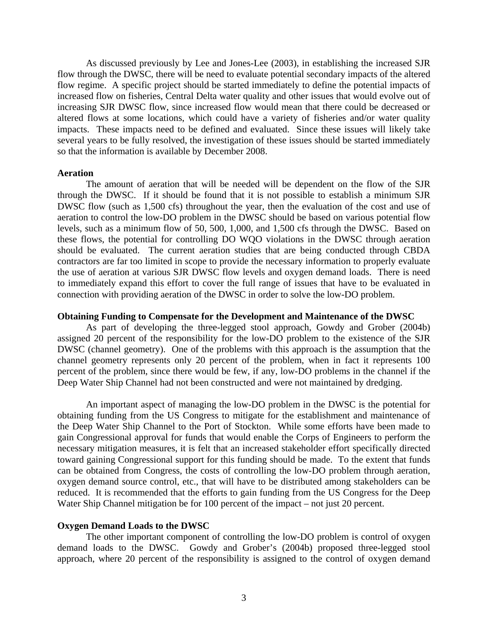As discussed previously by Lee and Jones-Lee (2003), in establishing the increased SJR flow through the DWSC, there will be need to evaluate potential secondary impacts of the altered flow regime. A specific project should be started immediately to define the potential impacts of increased flow on fisheries, Central Delta water quality and other issues that would evolve out of increasing SJR DWSC flow, since increased flow would mean that there could be decreased or altered flows at some locations, which could have a variety of fisheries and/or water quality impacts. These impacts need to be defined and evaluated. Since these issues will likely take several years to be fully resolved, the investigation of these issues should be started immediately so that the information is available by December 2008.

#### **Aeration**

 The amount of aeration that will be needed will be dependent on the flow of the SJR through the DWSC. If it should be found that it is not possible to establish a minimum SJR DWSC flow (such as 1,500 cfs) throughout the year, then the evaluation of the cost and use of aeration to control the low-DO problem in the DWSC should be based on various potential flow levels, such as a minimum flow of 50, 500, 1,000, and 1,500 cfs through the DWSC. Based on these flows, the potential for controlling DO WQO violations in the DWSC through aeration should be evaluated. The current aeration studies that are being conducted through CBDA contractors are far too limited in scope to provide the necessary information to properly evaluate the use of aeration at various SJR DWSC flow levels and oxygen demand loads. There is need to immediately expand this effort to cover the full range of issues that have to be evaluated in connection with providing aeration of the DWSC in order to solve the low-DO problem.

#### **Obtaining Funding to Compensate for the Development and Maintenance of the DWSC**

 As part of developing the three-legged stool approach, Gowdy and Grober (2004b) assigned 20 percent of the responsibility for the low-DO problem to the existence of the SJR DWSC (channel geometry). One of the problems with this approach is the assumption that the channel geometry represents only 20 percent of the problem, when in fact it represents 100 percent of the problem, since there would be few, if any, low-DO problems in the channel if the Deep Water Ship Channel had not been constructed and were not maintained by dredging.

 An important aspect of managing the low-DO problem in the DWSC is the potential for obtaining funding from the US Congress to mitigate for the establishment and maintenance of the Deep Water Ship Channel to the Port of Stockton. While some efforts have been made to gain Congressional approval for funds that would enable the Corps of Engineers to perform the necessary mitigation measures, it is felt that an increased stakeholder effort specifically directed toward gaining Congressional support for this funding should be made. To the extent that funds can be obtained from Congress, the costs of controlling the low-DO problem through aeration, oxygen demand source control, etc., that will have to be distributed among stakeholders can be reduced. It is recommended that the efforts to gain funding from the US Congress for the Deep Water Ship Channel mitigation be for 100 percent of the impact – not just 20 percent.

#### **Oxygen Demand Loads to the DWSC**

 The other important component of controlling the low-DO problem is control of oxygen demand loads to the DWSC. Gowdy and Grober's (2004b) proposed three-legged stool approach, where 20 percent of the responsibility is assigned to the control of oxygen demand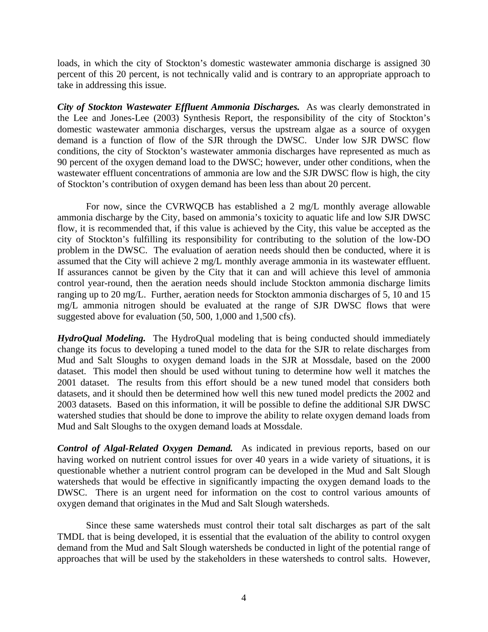loads, in which the city of Stockton's domestic wastewater ammonia discharge is assigned 30 percent of this 20 percent, is not technically valid and is contrary to an appropriate approach to take in addressing this issue.

*City of Stockton Wastewater Effluent Ammonia Discharges.* As was clearly demonstrated in the Lee and Jones-Lee (2003) Synthesis Report, the responsibility of the city of Stockton's domestic wastewater ammonia discharges, versus the upstream algae as a source of oxygen demand is a function of flow of the SJR through the DWSC. Under low SJR DWSC flow conditions, the city of Stockton's wastewater ammonia discharges have represented as much as 90 percent of the oxygen demand load to the DWSC; however, under other conditions, when the wastewater effluent concentrations of ammonia are low and the SJR DWSC flow is high, the city of Stockton's contribution of oxygen demand has been less than about 20 percent.

 For now, since the CVRWQCB has established a 2 mg/L monthly average allowable ammonia discharge by the City, based on ammonia's toxicity to aquatic life and low SJR DWSC flow, it is recommended that, if this value is achieved by the City, this value be accepted as the city of Stockton's fulfilling its responsibility for contributing to the solution of the low-DO problem in the DWSC. The evaluation of aeration needs should then be conducted, where it is assumed that the City will achieve 2 mg/L monthly average ammonia in its wastewater effluent. If assurances cannot be given by the City that it can and will achieve this level of ammonia control year-round, then the aeration needs should include Stockton ammonia discharge limits ranging up to 20 mg/L. Further, aeration needs for Stockton ammonia discharges of 5, 10 and 15 mg/L ammonia nitrogen should be evaluated at the range of SJR DWSC flows that were suggested above for evaluation (50, 500, 1,000 and 1,500 cfs).

*HydroQual Modeling.* The HydroQual modeling that is being conducted should immediately change its focus to developing a tuned model to the data for the SJR to relate discharges from Mud and Salt Sloughs to oxygen demand loads in the SJR at Mossdale, based on the 2000 dataset. This model then should be used without tuning to determine how well it matches the 2001 dataset. The results from this effort should be a new tuned model that considers both datasets, and it should then be determined how well this new tuned model predicts the 2002 and 2003 datasets. Based on this information, it will be possible to define the additional SJR DWSC watershed studies that should be done to improve the ability to relate oxygen demand loads from Mud and Salt Sloughs to the oxygen demand loads at Mossdale.

*Control of Algal-Related Oxygen Demand.* As indicated in previous reports, based on our having worked on nutrient control issues for over 40 years in a wide variety of situations, it is questionable whether a nutrient control program can be developed in the Mud and Salt Slough watersheds that would be effective in significantly impacting the oxygen demand loads to the DWSC. There is an urgent need for information on the cost to control various amounts of oxygen demand that originates in the Mud and Salt Slough watersheds.

 Since these same watersheds must control their total salt discharges as part of the salt TMDL that is being developed, it is essential that the evaluation of the ability to control oxygen demand from the Mud and Salt Slough watersheds be conducted in light of the potential range of approaches that will be used by the stakeholders in these watersheds to control salts. However,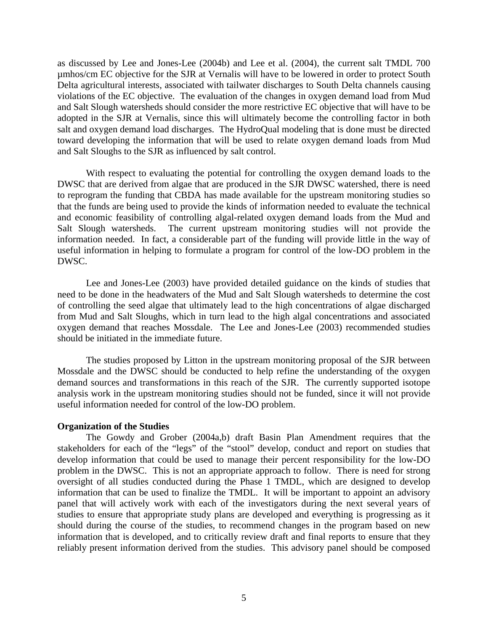as discussed by Lee and Jones-Lee (2004b) and Lee et al. (2004), the current salt TMDL 700 µmhos/cm EC objective for the SJR at Vernalis will have to be lowered in order to protect South Delta agricultural interests, associated with tailwater discharges to South Delta channels causing violations of the EC objective. The evaluation of the changes in oxygen demand load from Mud and Salt Slough watersheds should consider the more restrictive EC objective that will have to be adopted in the SJR at Vernalis, since this will ultimately become the controlling factor in both salt and oxygen demand load discharges. The HydroQual modeling that is done must be directed toward developing the information that will be used to relate oxygen demand loads from Mud and Salt Sloughs to the SJR as influenced by salt control.

 With respect to evaluating the potential for controlling the oxygen demand loads to the DWSC that are derived from algae that are produced in the SJR DWSC watershed, there is need to reprogram the funding that CBDA has made available for the upstream monitoring studies so that the funds are being used to provide the kinds of information needed to evaluate the technical and economic feasibility of controlling algal-related oxygen demand loads from the Mud and Salt Slough watersheds. The current upstream monitoring studies will not provide the information needed. In fact, a considerable part of the funding will provide little in the way of useful information in helping to formulate a program for control of the low-DO problem in the DWSC.

 Lee and Jones-Lee (2003) have provided detailed guidance on the kinds of studies that need to be done in the headwaters of the Mud and Salt Slough watersheds to determine the cost of controlling the seed algae that ultimately lead to the high concentrations of algae discharged from Mud and Salt Sloughs, which in turn lead to the high algal concentrations and associated oxygen demand that reaches Mossdale. The Lee and Jones-Lee (2003) recommended studies should be initiated in the immediate future.

 The studies proposed by Litton in the upstream monitoring proposal of the SJR between Mossdale and the DWSC should be conducted to help refine the understanding of the oxygen demand sources and transformations in this reach of the SJR. The currently supported isotope analysis work in the upstream monitoring studies should not be funded, since it will not provide useful information needed for control of the low-DO problem.

#### **Organization of the Studies**

 The Gowdy and Grober (2004a,b) draft Basin Plan Amendment requires that the stakeholders for each of the "legs" of the "stool" develop, conduct and report on studies that develop information that could be used to manage their percent responsibility for the low-DO problem in the DWSC. This is not an appropriate approach to follow. There is need for strong oversight of all studies conducted during the Phase 1 TMDL, which are designed to develop information that can be used to finalize the TMDL. It will be important to appoint an advisory panel that will actively work with each of the investigators during the next several years of studies to ensure that appropriate study plans are developed and everything is progressing as it should during the course of the studies, to recommend changes in the program based on new information that is developed, and to critically review draft and final reports to ensure that they reliably present information derived from the studies. This advisory panel should be composed